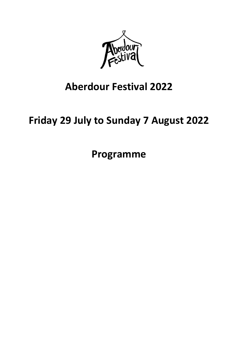

## **Aberdour Festival 2022**

# **Friday 29 July to Sunday 7 August 2022**

**Programme**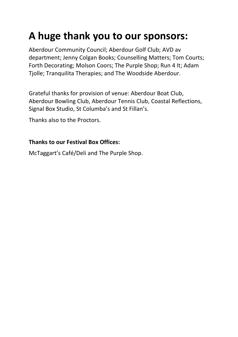# **A huge thank you to our sponsors:**

Aberdour Community Council; Aberdour Golf Club; AVD av department; Jenny Colgan Books; Counselling Matters; Tom Courts; Forth Decorating; Molson Coors; The Purple Shop; Run 4 It; Adam Tjolle; Tranquilita Therapies; and The Woodside Aberdour.

Grateful thanks for provision of venue: Aberdour Boat Club, Aberdour Bowling Club, Aberdour Tennis Club, Coastal Reflections, Signal Box Studio, St Columba's and St Fillan's.

Thanks also to the Proctors.

#### **Thanks to our Festival Box Offices:**

McTaggart's Café/Deli and The Purple Shop.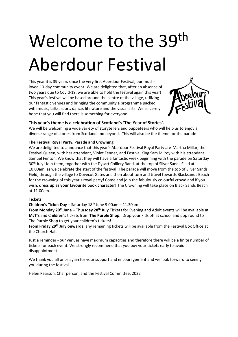# Welcome to the 39<sup>th</sup> Aberdour Festival

This year it is 39 years since the very first Aberdour Festival, our muchloved 10-day community event! We are delighted that, after an absence of two years due to Covid-19, we are able to hold the festival again this year! This year's festival will be based around the centre of the village, utilizing our fantastic venues and bringing the community a programme packed with music, talks, sport, dance, literature and the visual arts. We sincerely hope that you will find there is something for everyone.



#### **This year's theme is a celebration of Scotland's 'The Year of Stories'.**

We will be welcoming a wide variety of storytellers and puppeteers who will help us to enjoy a diverse range of stories from Scotland and beyond. This will also be the theme for the parade!

#### **The Festival Royal Party, Parade and Crowning**

We are delighted to announce that this year's Aberdour Festival Royal Party are Martha Millar, the Festival Queen, with her attendant, Violet Fenner, and Festival King Sam Milroy with his attendant Samuel Fenton. We know that they will have a fantastic week beginning with the parade on Saturday 30<sup>th</sup> July! Join them, together with the Dysart Colliery Band, at the top of Silver Sands Field at 10.00am, as we celebrate the start of the festival! The parade will move from the top of Silver Sands Field, through the village to Dovecot Gates and then about turn and travel towards Blacksands Beach for the crowning of this year's royal party! Come and join the fabulously colourful crowd and if you wish, **dress up as your favourite book character**! The Crowning will take place on Black Sands Beach at 11.00am.

#### **Tickets**

#### **Children's Ticket Day** – Saturday 18th June 9.00am – 11.30am

**From Monday 20th June – Thursday 28th July** Tickets for Evening and Adult events will be available at **McT's** and Children's tickets from **The Purple Shop.** Drop your kids off at school and pop round to The Purple Shop to get your children's tickets!

**From Friday 29th July onwards**, any remaining tickets will be available from the Festival Box Office at the Church Hall.

Just a reminder - our venues have maximum capacities and therefore there will be a finite number of tickets for each event. We strongly recommend that you buy your tickets early to avoid disappointment.

We thank you all once again for your support and encouragement and we look forward to seeing you during the festival.

Helen Pearson, Chairperson, and the Festival Committee, 2022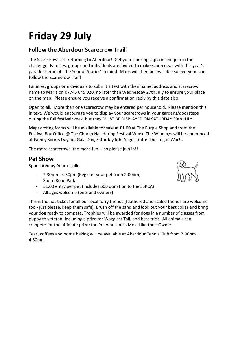# **Friday 29 July**

#### **Follow the Aberdour Scarecrow Trail!**

The Scarecrows are returning to Aberdour! Get your thinking caps on and join in the challenge! Families, groups and individuals are invited to make scarecrows with this year's parade theme of 'The Year of Stories' in mind! Maps will then be available so everyone can follow the Scarecrow Trail!

Families, groups or individuals to submit a text with their name, address and scarecrow name to Maria on 07745 045 020, no later than Wednesday 27th July to ensure your place on the map. Please ensure you receive a confirmation reply by this date also.

Open to all. More than one scarecrow may be entered per household. Please mention this in text. We would encourage you to display your scarecrows in your gardens/doorsteps during the full festival week, but they MUST BE DISPLAYED ON SATURDAY 30th JULY.

Maps/voting forms will be available for sale at £1.00 at The Purple Shop and from the Festival Box Office @ The Church Hall during Festival Week. The Winner/s will be announced at Family Sports Day, on Gala Day, Saturday 6th August (after the Tug o' War!).

The more scarecrows, the more fun … so please join in!!

#### **Pet Show**

Sponsored by Adam Tjolle

- 2.30pm 4.30pm (Register your pet from 2.00pm)
- Shore Road Park
- £1.00 entry per pet (includes 50p donation to the SSPCA)
- All ages welcome (pets and owners)



This is the hot ticket for all our local furry friends (feathered and scaled friends are welcome too - just please, keep them safe). Brush off the sand and look out your best collar and bring your dog ready to compete. Trophies will be awarded for dogs in a number of classes from puppy to veteran; including a prize for Waggiest Tail, and best trick. All animals can compete for the ultimate prize: the Pet who Looks Most Like their Owner.

Teas, coffees and home baking will be available at Aberdour Tennis Club from 2.00pm – 4.30pm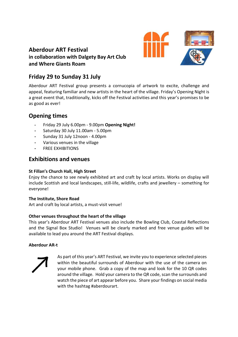#### **Aberdour ART Festival in collaboration with Dalgety Bay Art Club and Where Giants Roam**



#### **Friday 29 to Sunday 31 July**

Aberdour ART Festival group presents a cornucopia of artwork to excite, challenge and appeal, featuring familiar and new artists in the heart of the village. Friday's Opening Night is a great event that, traditionally, kicks off the Festival activities and this year's promises to be as good as ever!

#### **Opening times**

- **-** Friday 29 July 6.00pm 9.00pm **Opening Night!**
- **-** Saturday 30 July 11.00am 5.00pm
- **-** Sunday 31 July 12noon 4.00pm
- **-** Various venues in the village
- **-** FREE EXHIBITIONS

#### **Exhibitions and venues**

#### **St Fillan's Church Hall, High Street**

Enjoy the chance to see newly exhibited art and craft by local artists. Works on display will include Scottish and local landscapes, still-life, wildlife, crafts and jewellery – something for everyone!

#### **The Institute, Shore Road**

Art and craft by local artists, a must-visit venue!

#### **Other venues throughout the heart of the village**

This year's Aberdour ART Festival venues also include the Bowling Club, Coastal Reflections and the Signal Box Studio! Venues will be clearly marked and free venue guides will be available to lead you around the ART Festival displays.

#### **Aberdour AR-t**



As part of this year's ART Festival, we invite you to experience selected pieces within the beautiful surrounds of Aberdour with the use of the camera on your mobile phone. Grab a copy of the map and look for the 10 QR codes around the village. Hold your camera to the QR code, scan the surrounds and watch the piece of art appear before you. Share your findings on social media with the hashtag #aberdourart.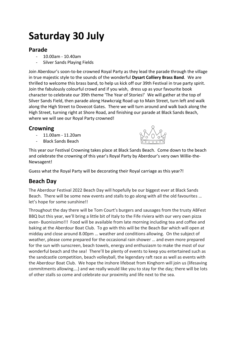# **Saturday 30 July**

#### **Parade**

- 10.00am 10.40am
- Silver Sands Playing Fields

Join Aberdour's soon-to-be crowned Royal Party as they lead the parade through the village in true majestic style to the sounds of the wonderful **Dysart Colliery Brass Band**. We are thrilled to welcome this brass band, to help us kick off our 39th Festival in true party spirit. Join the fabulously colourful crowd and if you wish, dress up as your favourite book character to celebrate our 39th theme 'The Year of Stories!' We will gather at the top of Silver Sands Field, then parade along Hawkcraig Road up to Main Street, turn left and walk along the High Street to Dovecot Gates. There we will turn around and walk back along the High Street, turning right at Shore Road, and finishing our parade at Black Sands Beach, where we will see our Royal Party crowned!

#### **Crowning**

- 11.00am 11.20am
- Black Sands Beach



This year our Festival Crowning takes place at Black Sands Beach. Come down to the beach and celebrate the crowning of this year's Royal Party by Aberdour's very own Willie-the-Newsagent!

Guess what the Royal Party will be decorating their Royal carriage as this year?!

#### **Beach Day**

The Aberdour Festival 2022 Beach Day will hopefully be our biggest ever at Black Sands Beach. There will be some new events and stalls to go along with all the old favourites … let's hope for some sunshine!!

Throughout the day there will be Tom Court's burgers and sausages from the trusty ABFest BBQ but this year, we'll bring a little bit of Italy to the Fife riviera with our very own pizza oven- Buonissimo!!! Food will be available from late morning including tea and coffee and baking at the Aberdour Boat Club. To go with this will be the Beach Bar which will open at midday and close around 8.00pm … weather and conditions allowing. On the subject of weather, please come prepared for the occasional rain shower … and even more prepared for the sun with sunscreen, beach towels, energy and enthusiasm to make the most of our wonderful beach and the sea! There'll be plenty of events to keep you entertained such as the sandcastle competition, beach volleyball, the legendary raft race as well as events with the Aberdour Boat Club. We hope the inshore lifeboat from Kinghorn will join us (lifesaving commitments allowing….) and we really would like you to stay for the day; there will be lots of other stalls so come and celebrate our proximity and life next to the sea.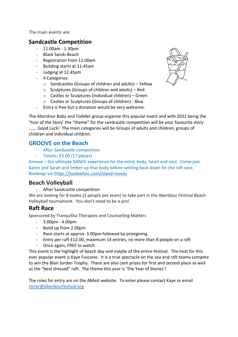The main events are:

#### **Sandcastle Competition**

- 11.00am 1.30pm
- Black Sands Beach
- Registration from 11.00am
- Building starts at 11.45am
- Judging at 12.45pm
- 4 Categories:
	- o Sandcastles (Groups of children and adults) Yellow
	- o Sculptures (Groups of children and adults) Red
	- o Castles or Sculptures (Individual children) Green
	- o Castles or Sculptures (Groups of children) Blue
- Entry is free but a donation would be very welcome.

The Aberdour Baby and Toddler group organise this popular event and with 2022 being the 'Year of the Story' the "theme" for the sandcastle competition will be your favourite story ……. Good Luck! The main categories will be Groups of adults and children, groups of children and individual children.

#### **GROOVE on the Beach**

- After Sandcastle competition
- Tickets: £5.00 (17 places)

Groove – the ultimate DANCE experience for the mind, body, heart and soul. Come join Karen and Sarah and limber up that body before settling back down for the raft race. Bookings via<https://bookwhen.com/island-moves>

#### **Beach Volleyball**

After Sandcastle competition

We are looking for 8 teams (2 people per team) to take part in the Aberdour Festival Beach Volleyball tournament. You don't need to be a pro!

#### **Raft Race**

Sponsored by Tranquilita Therapies and Counselling Matters

- 3.00pm 4.00pm
- Build up from 2.00pm
- Race starts at approx. 3.00pm followed by prizegiving
- Entry per raft £12.00, maximum 14 entries, no more than 8 people on a raft
- Once again, FREE to watch

This event is the highlight of beach day and maybe of the entire festival. The host for this ever popular event is Kaye Fuscone. It is a true spectacle on the sea and raft teams compete to win the Blair Jordan Trophy. There are also cash prizes for first and second place as well as the "best dressed" raft. The theme this year is 'The Year of Stories'!

The rules for entry are on the Abfest website. To enter please contact Kaye or email [victor@aberdourfestival.org](mailto:victor@aberdourfestival.org)

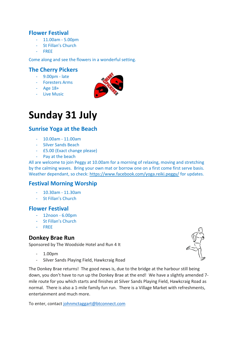#### **Flower Festival**

- 11.00am 5.00pm
- St Fillan's Church
- FREE

#### Come along and see the flowers in a wonderful setting.

#### **The Cherry Pickers**

- 9.00pm late
- Foresters Arms
- Age 18+
- Live Music



### **Sunday 31 July**

#### **Sunrise Yoga at the Beach**

- 10.00am 11.00am
- Silver Sands Beach
- £5.00 (Exact change please)
- Pay at the beach

All are welcome to join Peggy at 10.00am for a morning of relaxing, moving and stretching by the calming waves. Bring your own mat or borrow one on a first come first serve basis. Weather dependant, so check:<https://www.facebook.com/yoga.reiki.peggy/> for updates.

#### **Festival Morning Worship**

- 10.30am 11.30am
- St Fillan's Church

#### **Flower Festival**

- 12noon 6.00pm
- St Fillan's Church
- FREE

#### **Donkey Brae Run**

Sponsored by The Woodside Hotel and Run 4 It

- 1.00pm
- Silver Sands Playing Field, Hawkcraig Road



To enter, contact [johnmctaggart@btconnect.com](mailto:johnmctaggart@btconnect.com)

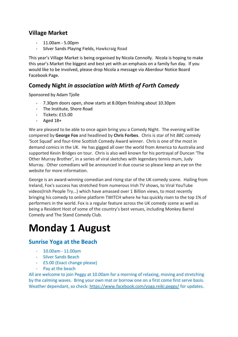#### **Village Market**

- 11.00am 5.00pm
- Silver Sands Playing Fields, Hawkcraig Road

This year's Village Market is being organised by Nicola Connolly. Nicola is hoping to make this year's Market the biggest and best yet with an emphasis on a family fun day. If you would like to be involved, please drop Nicola a message via Aberdour Notice Board Facebook Page.

#### **Comedy Night** *in association with Mirth of Forth Comedy*

Sponsored by Adam Tjolle

- 7.30pm doors open, show starts at 8.00pm finishing about 10.30pm
- The Institute, Shore Road
- Tickets: £15.00
- Aged  $18+$

We are pleased to be able to once again bring you a Comedy Night. The evening will be compered by **George Fox** and headlined by **Chris Forbes**. Chris is star of hit *BBC* comedy 'Scot Squad' and four-time Scottish Comedy Award winner. Chris is one of the most in demand comics in the UK. He has gigged all over the world from America to Australia and supported Kevin Bridges on tour. Chris is also well known for his portrayal of Duncan 'The Other Murray Brother', in a series of viral sketches with legendary tennis mum, Judy Murray. Other comedians will be announced in due course so please keep an eye on the website for more information.

George is an award-winning comedian and rising star of the UK comedy scene. Hailing from Ireland, Fox's success has stretched from numerous Irish TV shows, to Viral YouTube videos(Irish People Try...) which have amassed over 1 Billion views, to most recently bringing his comedy to online platform TWITCH where he has quickly risen to the top 1% of performers in the world. Fox is a regular feature across the UK comedy scene as well as being a Resident Host of some of the country's best venues, including Monkey Barrel Comedy and The Stand Comedy Club.

# **Monday 1 August**

#### **Sunrise Yoga at the Beach**

- 10.00am 11.00am
- Silver Sands Beach
- £5.00 (Exact change please)
- Pay at the beach

All are welcome to join Peggy at 10.00am for a morning of relaxing, moving and stretching by the calming waves. Bring your own mat or borrow one on a first come first serve basis. Weather dependant, so check:<https://www.facebook.com/yoga.reiki.peggy/> for updates.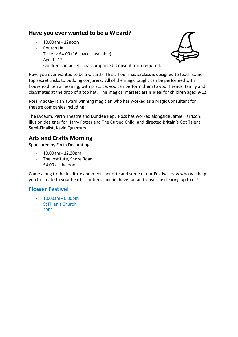#### **Have you ever wanted to be a Wizard?**

- 10.00am 12noon
- Church Hall
- Tickets: £4.00 (16 spaces available)
- $-$  Age  $9 12$
- Children can be left unaccompanied. Consent form required.

Have you ever wanted to be a wizard? This 2 hour masterclass is designed to teach some top secret tricks to budding conjurers. All of the magic taught can be performed with household items meaning, with practice, you can perform them to your friends, family and classmates at the drop of a top hat. This magical masterclass is ideal for children aged 9-12.

Ross MacKay is an award winning magician who has worked as a Magic Consultant for theatre companies including

The Lyceum, Perth Theatre and Dundee Rep. Ross has worked alongside Jamie Harrison, illusion designer for Harry Potter and The Cursed Child, and directed Britain's Got Talent Semi-Finalist, Kevin Quantum.

#### **Arts and Crafts Morning**

Sponsored by Forth Decorating

- 10.00am 12.30pm
- The Institute, Shore Road
- £4.00 at the door

Come along to the Institute and meet Jannette and some of our Festival crew who will help you to create to your heart's content. Join in, have fun and leave the clearing up to us!

#### **Flower Festival**

- 10.00am 6.00pm
- St Fillan's Church
- FREE

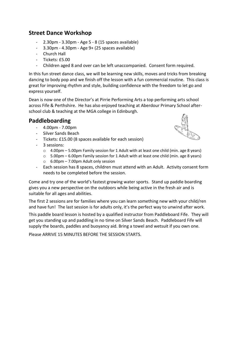#### **Street Dance Workshop**

- 2.30pm 3.30pm Age 5 8 (15 spaces available)
- 3.30pm 4.30pm Age 9+ (25 spaces available)
- Church Hall
- Tickets: £5.00
- Children aged 8 and over can be left unaccompanied. Consent form required.

In this fun street dance class, we will be learning new skills, moves and tricks from breaking dancing to body pop and we finish off the lesson with a fun commercial routine. This class is great for improving rhythm and style, building confidence with the freedom to let go and express yourself.

Dean is now one of the Director's at Pirrie Performing Arts a top performing arts school across Fife & Perthshire. He has also enjoyed teaching at Aberdour Primary School afterschool club & teaching at the MGA college in Edinburgh.

#### **Paddleboarding**

- 4.00pm 7.00pm
- Silver Sands Beach
- Tickets: £15.00 (8 spaces available for each session)
- 3 sessions:
	- o 4.00pm 5.00pm Family session for 1 Adult with at least one child (min. age 8 years)
	- $\circ$  5.00pm 6.00pm Family session for 1 Adult with at least one child (min. age 8 years)
	- $\circ$  6.00pm 7.00pm Adult only session
- Each session has 8 spaces, children must attend with an Adult. Activity consent form needs to be completed before the session.

Come and try one of the world's fastest growing water sports. Stand up paddle boarding gives you a new perspective on the outdoors while being active in the fresh air and is suitable for all ages and abilities.

The first 2 sessions are for families where you can learn something new with your child/ren and have fun! The last session is for adults only, it's the perfect way to unwind after work.

This paddle board lesson is hosted by a qualified instructor from Paddleboard Fife. They will get you standing up and paddling in no time on Silver Sands Beach. Paddleboard Fife will supply the boards, paddles and buoyancy aid. Bring a towel and wetsuit if you own one.

Please ARRIVE 15 MINUTES BEFORE THE SESSION STARTS.

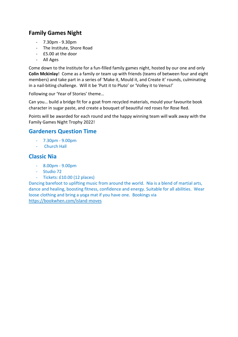#### **Family Games Night**

- 7.30pm 9.30pm
- The Institute, Shore Road
- £5.00 at the door
- All Ages

Come down to the Institute for a fun-filled family games night, hosted by our one and only **Colin Mckinlay**! Come as a family or team up with friends (teams of between four and eight members) and take part in a series of 'Make it, Mould it, and Create it' rounds, culminating in a nail-biting challenge. Will it be 'Putt it to Pluto' or 'Volley it to Venus!'

Following our 'Year of Stories' theme…

Can you… build a bridge fit for a goat from recycled materials, mould your favourite book character in sugar paste, and create a bouquet of beautiful red roses for Rose Red.

Points will be awarded for each round and the happy winning team will walk away with the Family Games Night Trophy 2022!

#### **Gardeners Question Time**

- 7.30pm 9.00pm
- Church Hall

#### **Classic Nia**

- 8.00pm 9.00pm
- Studio 72
- Tickets: £10.00 (12 places)

Dancing barefoot to uplifting music from around the world. Nia is a blend of martial arts, dance and healing, boosting fitness, confidence and energy. Suitable for all abilities. Wear loose clothing and bring a yoga mat if you have one. Bookings via <https://bookwhen.com/island-moves>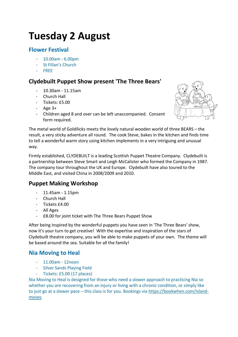# **Tuesday 2 August**

#### **Flower Festival**

- 10.00am 6.00pm
- St Fillan's Church
- FREE

#### **Clydebuilt Puppet Show present 'The Three Bears'**

- 10.30am 11.15am
- Church Hall
- Tickets: £5.00
- Age 3+
- Children aged 8 and over can be left unaccompanied. Consent form required.



The metal world of Goldilicks meets the lovely natural wooden world of three BEARS – the result, a very sticky adventure all round. The cook Steve, bakes in the kitchen and finds time to tell a wonderful warm story using kitchen implements in a very intriguing and unusual way.

Firmly established, CLYDEBUILT is a leading Scottish Puppet Theatre Company. Clydebuilt is a partnership between Steve Smart and Leigh McCalister who formed the Company in 1987. The company tour throughout the UK and Europe. Clydebuilt have also toured to the Middle East, and visited China in 2008/2009 and 2010.

#### **Puppet Making Workshop**

- 11.45am 1.15pm
- Church Hall
- Tickets £4.00
- All Ages
- £8.00 for joint ticket with The Three Bears Puppet Show

After being inspired by the wonderful puppets you have seen in 'The Three Bears' show, now it's your turn to get creative! With the expertise and inspiration of the stars of Clydebuilt theatre company, you will be able to make puppets of your own. The theme will be based around the sea. Suitable for all the family!

#### **Nia Moving to Heal**

- 11.00am 12noon
- Silver Sands Playing Field
- Tickets: £5.00 (17 places)

Nia Moving to Heal is designed for those who need a slower approach to practicing Nia so whether you are recovering from an injury or living with a chronic condition, or simply like to just go at a slower pace – this class is for you. Bookings via [https://bookwhen.com/island](https://bookwhen.com/island-moves)[moves](https://bookwhen.com/island-moves)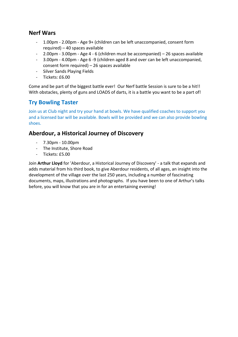#### **Nerf Wars**

- 1.00pm 2.00pm Age 9+ (children can be left unaccompanied, consent form required) – 40 spaces available
- 2.00pm 3.00pm Age 4 6 (children must be accompanied) 26 spaces available
- 3.00pm 4.00pm Age 6 -9 (children aged 8 and over can be left unaccompanied, consent form required) – 26 spaces available
- Silver Sands Playing Fields
- Tickets: £6.00

Come and be part of the biggest battle ever! Our Nerf battle Session is sure to be a hit!! With obstacles, plenty of guns and LOADS of darts, it is a battle you want to be a part of!

#### **Try Bowling Taster**

Join us at Club night and try your hand at bowls. We have qualified coaches to support you and a licensed bar will be available. Bowls will be provided and we can also provide bowling shoes.

#### **Aberdour, a Historical Journey of Discovery**

- 7.30pm 10.00pm
- The Institute, Shore Road
- Tickets: £5.00

Join **Arthur Lloyd** for 'Aberdour, a Historical Journey of Discovery' - a talk that expands and adds material from his third book, to give Aberdour residents, of all ages, an insight into the development of the village over the last 250 years, including a number of fascinating documents, maps, illustrations and photographs. If you have been to one of Arthur's talks before, you will know that you are in for an entertaining evening!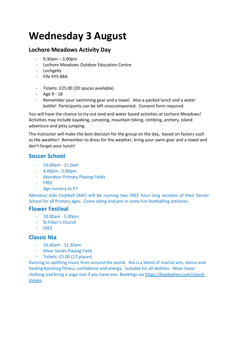# **Wednesday 3 August**

#### **Lochore Meadows Activity Day**

- $-$  9.30am  $-$  3.00pm
- Lochore Meadows Outdoor Education Centre
- Lochgelly
- Fife KY5 8BA
- Tickets: £25.00 (20 spaces available)
- Age 9 18
- Remember your swimming gear and a towel. Also a packed lunch and a water bottle! Participants can be left unaccompanied. Consent form required.

You will have the chance to try out land and water based activities at Lochore Meadows! Activities may include kayaking, canoeing, mountain biking, climbing, archery, island adventure and jetty jumping.

The instructor will make the best decision for the group on the day, based on factors such as the weather! Remember to dress for the weather, bring your swim gear and a towel and don't forget your lunch!

#### **Soccer School**

- $10.00$ am  $11.0$ am
- 4.00pm 5.00pm
- Aberdour Primary Playing Fields
- FREE
- Age nursery to P7

Aberdour Kids Football (AKF) will be running two FREE hour long sessions of their Soccer School for all Primary ages. Come along and join in some fun footballing activities.

#### **Flower Festival**

- 10.00am 5.00pm
- St Fillan's Church
- FREE

#### **Classic Nia**

- 10.30am 11.30am
- Silver Sands Playing Field
- Tickets: £5.00 (17 places)

Dancing to uplifting music from around the world. Nia is a blend of martial arts, dance and healing boosting fitness, confidence and energy. Suitable for all abilities. Wear loose clothing and bring a yoga mat if you have one. Bookings via [https://bookwhen.com/island](https://bookwhen.com/island-moves)[moves](https://bookwhen.com/island-moves)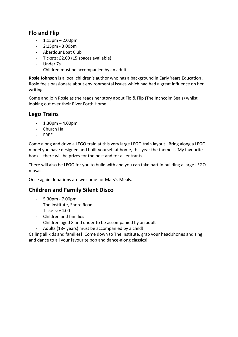#### **Flo and Flip**

- 1.15pm 2.00pm
- $-2:15$ pm  $-3:00$ pm
- Aberdour Boat Club
- Tickets: £2.00 (15 spaces available)
- Under 7s
- Children must be accompanied by an adult

**Rosie Johnson** is a local children's author who has a background in Early Years Education . Rosie feels passionate about environmental issues which had had a great influence on her writing.

Come and join Rosie as she reads her story about Flo & Flip (The Inchcolm Seals) whilst looking out over their River Forth Home.

#### **Lego Trains**

- $1.30$ pm  $4.00$ pm
- Church Hall
- FREE

Come along and drive a LEGO train at this very large LEGO train layout. Bring along a LEGO model you have designed and built yourself at home, this year the theme is 'My favourite book' - there will be prizes for the best and for all entrants.

There will also be LEGO for you to build with and you can take part in building a large LEGO mosaic.

Once again donations are welcome for Mary's Meals.

#### **Children and Family Silent Disco**

- 5.30pm 7.00pm
- The Institute, Shore Road
- Tickets: £4.00
- Children and families
- Children aged 8 and under to be accompanied by an adult
- Adults (18+ years) must be accompanied by a child!

Calling all kids and families! Come down to The Institute, grab your headphones and sing and dance to all your favourite pop and dance-along classics!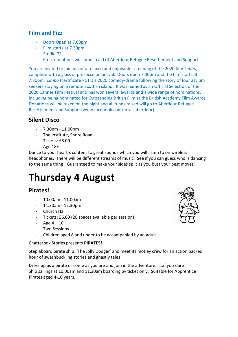#### **Film and Fizz**

- Doors Open at 7.00pm
- Film starts at 7.30pm
- Studio 72
- Free, donations welcome in aid of Aberdour Refugee Resettlement and Support

You are invited to join us for a relaxed and enjoyable screening of the 2020 film *Limbo*, complete with a glass of prosecco on arrival. Doors open 7.00pm and the film starts at 7.30pm. *Limbo* (certificate PG) is a 2020 comedy-drama following the story of four asylum seekers staying on a remote Scottish island. It was named as an Official Selection of the 2020 Cannes Film Festival and has won several awards and a wide range of nominations, including being nominated for Outstanding British Film at the British Academy Film Awards. Donations will be taken on the night and all funds raised will go to Aberdour Refugee Resettlement and Support (www.facebook.com/arras.aberdour).

#### **Silent Disco**

- 7.30pm 11.00pm
- The Institute, Shore Road
- Tickets: £8.00
- Age 18+

Dance to your heart's content to great sounds which you will listen to on wireless headphones. There will be different streams of music. See if you can guess who is dancing to the same thing! Guaranteed to make your sides split as you bust your best moves.

# **Thursday 4 August**

#### **Pirates!**

- 10.00am 11.00am
- $11.30$ am  $12:30$ pm
- Church Hall
- Tickets: £6.00 (20 spaces available per session)
- Age  $4 10$
- Two Sessions
- Children aged 8 and under to be accompanied by an adult

#### Chatterbox Stories presents **PIRATES!**

Step aboard pirate ship, 'The Jolly Dodger' and meet its motley crew for an action packed hour of swashbuckling stories and ghastly tales!

Dress up as a pirate or come as you are and join in the adventure…….if you dare! Ship sailings at 10.00am and 11.30am boarding by ticket only. Suitable for Apprentice Pirates aged 4-10 years.

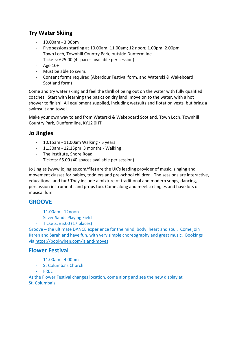#### **Try Water Skiing**

- 10.00am 3:00pm
- Five sessions starting at 10.00am; 11.00am; 12 noon; 1.00pm; 2.00pm
- Town Loch, Townhill Country Park, outside Dunfermline
- Tickets: £25.00 (4 spaces available per session)
- Age 10+
- Must be able to swim.
- Consent forms required (Aberdour Festival form, and Waterski & Wakeboard Scotland form)

Come and try water skiing and feel the thrill of being out on the water with fully qualified coaches. Start with learning the basics on dry land, move on to the water, with a hot shower to finish! All equipment supplied, including wetsuits and flotation vests, but bring a swimsuit and towel.

Make your own way to and from Waterski & Wakeboard Scotland, Town Loch, Townhill Country Park, Dunfermline, KY12 0HT

#### **Jo Jingles**

- 10.15am 11.00am Walking 5 years
- 11.30am 12.15pm 3 months Walking
- The Institute, Shore Road
- Tickets: £5.00 (40 spaces available per session)

Jo Jingles (www.jojingles.com/fife) are the UK's leading provider of music, singing and movement classes for babies, toddlers and pre-school children. The sessions are interactive, educational and fun! They include a mixture of traditional and modern songs, dancing, percussion instruments and props too. Come along and meet Jo Jingles and have lots of musical fun!

#### **GROOVE**

- 11.00am 12noon
- Silver Sands Playing Field
- Tickets: £5.00 (17 places)

Groove – the ultimate DANCE experience for the mind, body, heart and soul. Come join Karen and Sarah and have fun, with very simple choreography and great music. Bookings via<https://bookwhen.com/island-moves>

#### **Flower Festival**

- 11.00am 4.00pm
- St Columba's Church
- FREE

As the Flower Festival changes location, come along and see the new display at St. Columba's.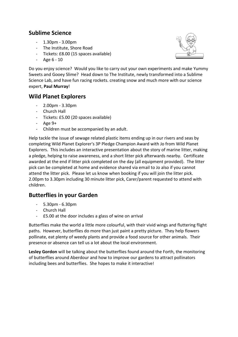#### **Sublime Science**

- 1.30pm 3.00pm
- The Institute, Shore Road
- Tickets: £8.00 (15 spaces available)
- Age 6 10



Do you enjoy science? Would you like to carry out your own experiments and make Yummy Sweets and Gooey Slime? Head down to The Institute, newly transformed into a Sublime Science Lab, and have fun racing rockets. creating snow and much more with our science expert, **Paul Murray**!

#### **Wild Planet Explorers**

- 2.00pm 3.30pm
- Church Hall
- Tickets: £5.00 (20 spaces available)
- Age 9+
- Children must be accompanied by an adult.

Help tackle the issue of sewage related plastic items ending up in our rivers and seas by completing Wild Planet Explorer's 3P Pledge Champion Award with Jo from Wild Planet Explorers. This includes an interactive presentation about the story of marine litter, making a pledge, helping to raise awareness, and a short litter pick afterwards nearby. Certificate awarded at the end if litter pick completed on the day (all equipment provided). The litter pick can be completed at home and evidence shared via email to Jo also if you cannot attend the litter pick. Please let us know when booking if you will join the litter pick. 2.00pm to 3.30pm including 30 minute litter pick, Carer/parent requested to attend with children.

#### **Butterflies in your Garden**

- 5.30pm 6.30pm
- Church Hall
- £5.00 at the door includes a glass of wine on arrival

Butterflies make the world a little more colourful, with their vivid wings and fluttering flight paths. However, butterflies do more than just paint a pretty picture. They help flowers pollinate, eat plenty of weedy plants and provide a food source for other animals. Their presence or absence can tell us a lot about the local environment.

**Lesley Gordon** will be talking about the butterflies found around the Forth, the monitoring of butterflies around Aberdour and how to improve our gardens to attract pollinators including bees and butterflies. She hopes to make it interactive!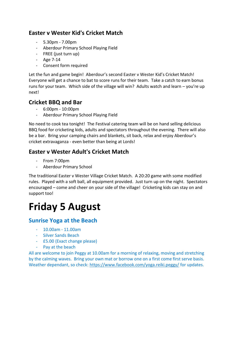#### **Easter v Wester Kid's Cricket Match**

- 5.30pm 7.00pm
- Aberdour Primary School Playing Field
- FREE (just turn up)
- Age 7-14
- Consent form required

Let the fun and game begin! Aberdour's second Easter v Wester Kid's Cricket Match! Everyone will get a chance to bat to score runs for their team. Take a catch to earn bonus runs for your team. Which side of the village will win? Adults watch and learn – you're up next!

#### **Cricket BBQ and Bar**

- 6:00pm 10:00pm
- Aberdour Primary School Playing Field

No need to cook tea tonight! The Festival catering team will be on hand selling delicious BBQ food for cricketing kids, adults and spectators throughout the evening. There will also be a bar. Bring your camping chairs and blankets, sit back, relax and enjoy Aberdour's cricket extravaganza - even better than being at Lords!

#### **Easter v Wester Adult's Cricket Match**

- From 7:00pm
- Aberdour Primary School

The traditional Easter v Wester Village Cricket Match. A 20:20 game with some modified rules. Played with a soft ball, all equipment provided. Just turn up on the night. Spectators encouraged – come and cheer on your side of the village! Cricketing kids can stay on and support too!

# **Friday 5 August**

#### **Sunrise Yoga at the Beach**

- 10.00am 11.00am
- Silver Sands Beach
- £5.00 (Exact change please)
- Pay at the beach

All are welcome to join Peggy at 10.00am for a morning of relaxing, moving and stretching by the calming waves. Bring your own mat or borrow one on a first come first serve basis. Weather dependant, so check:<https://www.facebook.com/yoga.reiki.peggy/> for updates.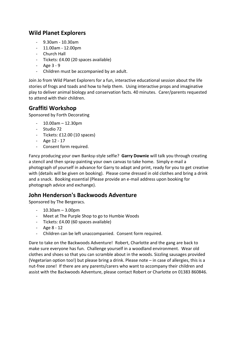#### **Wild Planet Explorers**

- 9.30am 10.30am
- $-11.00$ am  $-12.00$ pm
- Church Hall
- Tickets: £4.00 (20 spaces available)
- Age 3 9
- Children must be accompanied by an adult.

Join Jo from Wild Planet Explorers for a fun, interactive educational session about the life stories of frogs and toads and how to help them. Using interactive props and imaginative play to deliver animal biology and conservation facts. 40 minutes. Carer/parents requested to attend with their children.

#### **Graffiti Workshop**

Sponsored by Forth Decorating

- $10.00$ am 12.30pm
- Studio 72
- Tickets: £12.00 (10 spaces)
- Age 12 17
- Consent form required.

Fancy producing your own Banksy-style selfie? **Garry Downie** will talk you through creating a stencil and then spray-painting your own canvas to take home. Simply e-mail a photograph of yourself in advance for Garry to adapt and print, ready for you to get creative with (details will be given on booking). Please come dressed in old clothes and bring a drink and a snack. Booking essential (Please provide an e-mail address upon booking for photograph advice and exchange).

#### **John Henderson's Backwoods Adventure**

Sponsored by The Bergeracs.

- 10.30am 3.00pm
- Meet at The Purple Shop to go to Humbie Woods
- Tickets: £4.00 (60 spaces available)
- Age 8 12
- Children can be left unaccompanied. Consent form required.

Dare to take on the Backwoods Adventure! Robert, Charlotte and the gang are back to make sure everyone has fun. Challenge yourself in a woodland environment. Wear old clothes and shoes so that you can scramble about in the woods. Sizzling sausages provided (Vegetarian option too!) but please bring a drink. Please note – in case of allergies, this is a nut-free zone! If there are any parents/carers who want to accompany their children and assist with the Backwoods Adventure, please contact Robert or Charlotte on 01383 860846.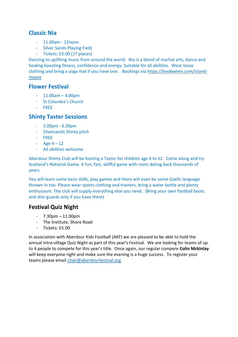#### **Classic Nia**

- 11.00am 12noon
- Silver Sands Playing Field
- Tickets: £5.00 (17 places)

Dancing to uplifting music from around the world. Nia is a blend of martial arts, dance and healing boosting fitness, confidence and energy. Suitable for all abilities. Wear loose clothing and bring a yoga mat if you have one. Bookings via [https://bookwhen.com/island](https://bookwhen.com/island-moves)[moves](https://bookwhen.com/island-moves)

#### **Flower Festival**

- $-11.00am 4.00dm$
- St Columba's Church
- FREE

#### **Shinty Taster Sessions**

- 5.00pm 6.30pm
- Silversands Shinty pitch
- FREE
- $-$  Age 4 12
- All abilities welcome

Aberdour Shinty Club will be hosting a Taster for children age 4 to 12. Come along and try Scotland's National Game. A fun, fast, skillful game with roots dating back thousands of years.

You will learn some basic skills, play games and there will even be some Gaelic language thrown in too. Please wear sports clothing and trainers, bring a water bottle and plenty enthusiasm. The club will supply everything else you need. (Bring your own football boots and shin guards only if you have them)

#### **Festival Quiz Night**

- $7.30$ pm  $11.00$ pm
- The Institute, Shore Road
- Tickets: £5.00

In association with Aberdour Kids Football (AKF) we are pleased to be able to hold the annual intra-village Quiz Night as part of this year's Festival. We are looking for teams of up to 4 people to compete for this year's title. Once again, our regular compere **Colin Mckinlay** will keep everyone right and make sure the evening is a huge success. To register your teams please email [chair@aberdourfestival.org](mailto:chair@aberdourfestival.org)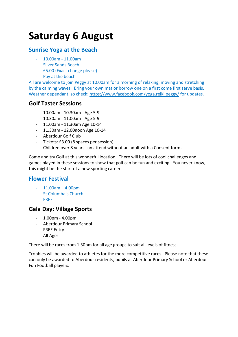# **Saturday 6 August**

#### **Sunrise Yoga at the Beach**

- 10.00am 11.00am
- Silver Sands Beach
- £5.00 (Exact change please)
- Pay at the beach

All are welcome to join Peggy at 10.00am for a morning of relaxing, moving and stretching by the calming waves. Bring your own mat or borrow one on a first come first serve basis. Weather dependant, so check:<https://www.facebook.com/yoga.reiki.peggy/> for updates.

#### **Golf Taster Sessions**

- 10.00am 10.30am Age 5-9
- 10.30am 11.00am Age 5-9
- 11.00am 11.30am Age 10-14
- 11.30am 12.00noon Age 10-14
- Aberdour Golf Club
- Tickets: £3.00 (8 spaces per session)
- Children over 8 years can attend without an adult with a Consent form.

Come and try Golf at this wonderful location. There will be lots of cool challenges and games played in these sessions to show that golf can be fun and exciting. You never know, this might be the start of a new sporting career.

#### **Flower Festival**

- $11.00$ am  $4.00$ pm
- St Columba's Church
- FREE

#### **Gala Day: Village Sports**

- 1.00pm 4.00pm
- Aberdour Primary School
- FREE Entry
- All Ages

There will be races from 1.30pm for all age groups to suit all levels of fitness.

Trophies will be awarded to athletes for the more competitive races. Please note that these can only be awarded to Aberdour residents, pupils at Aberdour Primary School or Aberdour Fun Football players.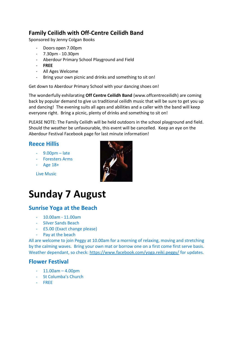#### **Family Ceilidh with Off-Centre Ceilidh Band**

Sponsored by Jenny Colgan Books

- Doors open 7.00pm
- 7.30pm 10.30pm
- Aberdour Primary School Playground and Field
- **FREE**
- All Ages Welcome
- Bring your own picnic and drinks and something to sit on!

Get down to Aberdour Primary School with your dancing shoes on!

The wonderfully exhilarating **Off Centre Ceilidh Band** (www.offcentreceilidh) are coming back by popular demand to give us traditional ceilidh music that will be sure to get you up and dancing! The evening suits all ages and abilities and a caller with the band will keep everyone right. Bring a picnic, plenty of drinks and something to sit on!

PLEASE NOTE: The Family Ceilidh will be held outdoors in the school playground and field. Should the weather be unfavourable, this event will be cancelled. Keep an eye on the Aberdour Festival Facebook page for last minute information!

#### **Reece Hillis**

- 9.00pm late
- Foresters Arms
- Age 18+

Live Music



# **Sunday 7 August**

#### **Sunrise Yoga at the Beach**

- 10.00am 11.00am
- Silver Sands Beach
- £5.00 (Exact change please)
- Pay at the beach

All are welcome to join Peggy at 10.00am for a morning of relaxing, moving and stretching by the calming waves. Bring your own mat or borrow one on a first come first serve basis. Weather dependant, so check:<https://www.facebook.com/yoga.reiki.peggy/> for updates.

#### **Flower Festival**

- $-11.00$ am  $-4.00$ pm
- St Columba's Church
- FREE